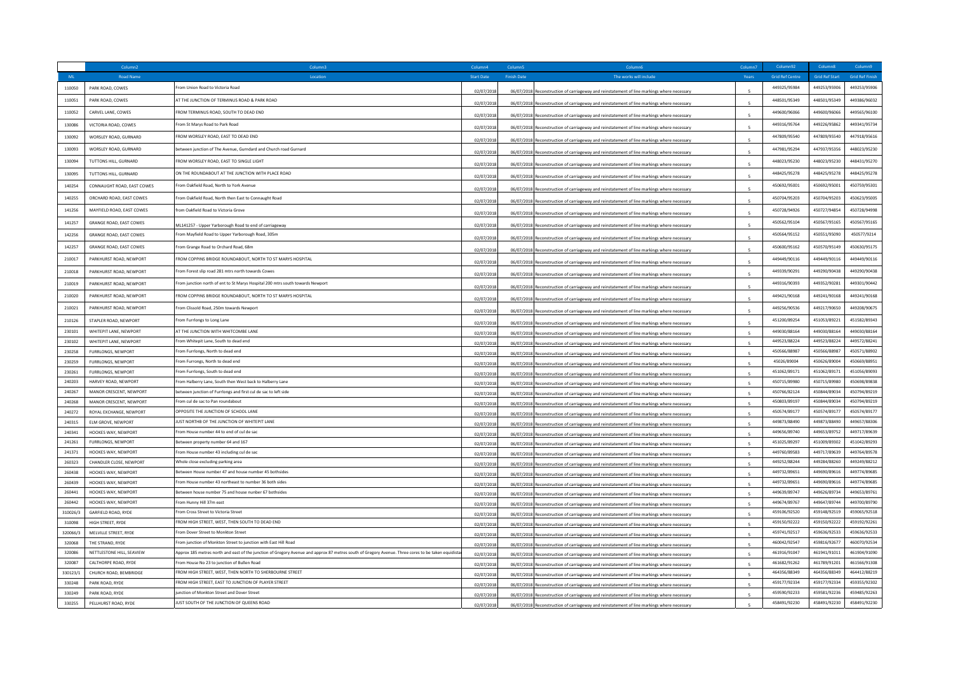|                  | Column <sub>2</sub>                               |                                                                                                                                                    | Column4                  | Column!            | Column6                                                                                                                                                                                    | Column <sub>7</sub> | Column92                     | Column <sup>8</sup>          | Column9                      |
|------------------|---------------------------------------------------|----------------------------------------------------------------------------------------------------------------------------------------------------|--------------------------|--------------------|--------------------------------------------------------------------------------------------------------------------------------------------------------------------------------------------|---------------------|------------------------------|------------------------------|------------------------------|
| ML               | <b>Road Name</b>                                  | Locatio                                                                                                                                            | <b>Start Date</b>        | <b>Finish Date</b> | The works will include                                                                                                                                                                     | Years               | <b>Grid Ref Centre</b>       | <b>Grid Ref Start</b>        | <b>Grid Ref Finish</b>       |
| 110050           | PARK ROAD, COWES                                  | From Union Road to Victoria Road                                                                                                                   | 02/07/2018               |                    | 06/07/2018 Reconstruction of carriageway and reinstatement of line markings where necessary                                                                                                |                     | 449325/95984                 | 449253/95906                 | 449253/95906                 |
| 110051           | PARK ROAD, COWES                                  | AT THE JUNCTION OF TERMINUS ROAD & PARK ROAD                                                                                                       | 02/07/2018               |                    | 06/07/2018 Reconstruction of carriageway and reinstatement of line markings where necessary                                                                                                |                     | 448501/95349                 | 448501/95349                 | 449386/96032                 |
| 110052           | CARVEL LANE, COWES                                | FROM TERMINUS ROAD, SOUTH TO DEAD END                                                                                                              | 02/07/2018               |                    |                                                                                                                                                                                            |                     | 449600/96066                 | 449600/96066                 | 449565/96100                 |
| 130086           | VICTORIA ROAD, COWES                              | From St Marys Road to Park Road                                                                                                                    |                          |                    | 06/07/2018 Reconstruction of carriageway and reinstatement of line markings where necessary                                                                                                |                     | 449316/95764                 | 449226/95862                 | 449341/95734                 |
| 130092           | WORSLEY ROAD, GURNARD                             | FROM WORSLEY ROAD, EAST TO DEAD END                                                                                                                | 02/07/2018               |                    | 06/07/2018 Reconstruction of carriageway and reinstatement of line markings where necessary                                                                                                |                     | 447809/95540                 | 447809/95540                 | 447918/95616                 |
|                  |                                                   |                                                                                                                                                    | 02/07/2018               |                    | 06/07/2018 Reconstruction of carriageway and reinstatement of line markings where necessary                                                                                                |                     |                              |                              | 448023/95230                 |
| 130093           | WORSLEY ROAD, GURNARD                             | between junction of The Avenue, Gurndard and Church road Gurnard                                                                                   | 02/07/2018               |                    | 06/07/2018 Reconstruction of carriageway and reinstatement of line markings where necessary                                                                                                |                     | 447981/95294                 | 447937/95356                 |                              |
| 130094           | TUTTONS HILL, GURNARD                             | FROM WORSLEY ROAD, EAST TO SINGLE LIGHT                                                                                                            | 02/07/2018               |                    | 06/07/2018 Reconstruction of carriageway and reinstatement of line markings where necessary                                                                                                |                     | 448023/95230                 | 448023/95230                 | 448431/95270                 |
| 130095           | TUTTONS HILL, GURNARD                             | ON THE ROUNDABOUT AT THE JUNCTION WITH PLACE ROAD                                                                                                  | 02/07/2018               | 06/07/2018         | instruction of carriageway and reinstatement of line markings where necessar                                                                                                               |                     | 448425/95278                 | 448425/95278                 | 448425/95278                 |
| 140254           | CONNAUGHT ROAD, EAST COWES                        | From Oakfield Road, North to York Avenue                                                                                                           | 02/07/2018               |                    | 06/07/2018 Reconstruction of carriageway and reinstatement of line markings where necessary                                                                                                |                     | 450692/95001                 | 450692/95001                 | 450759/95301                 |
| 140255           | ORCHARD ROAD, EAST COWES                          | rom Oakfield Road. North then East to Connaught Road                                                                                               | 02/07/2018               |                    | 06/07/2018 Reconstruction of carriageway and reinstatement of line markings where necessary                                                                                                |                     | 450704/95203                 | 450704/95203                 | 450623/95005                 |
| 141256           | MAYFIELD ROAD, EAST COWES                         | from Oakfield Road to Victoria Grove                                                                                                               | 02/07/2018               | 06/07/2018         | onstruction of carriageway and reinstatement of line markings where necessar                                                                                                               |                     | 450728/94926                 | 450727/94854                 | 450728/94998                 |
| 141257           | <b>GRANGE ROAD, EAST COWES</b>                    |                                                                                                                                                    |                          |                    |                                                                                                                                                                                            |                     | 450562/95104                 | 450567/95165                 | 450567/95165                 |
| 142256           | <b>GRANGE ROAD, FAST COWES</b>                    | ML141257 - Upper Yarborough Road to end of carriageway<br>rom Mayfield Road to Upper Yarborough Road, 305m                                         | 02/07/2018               |                    | 06/07/2018 Reconstruction of carriageway and reinstatement of line markings where necessary                                                                                                |                     | 450564/95152                 | 450551/95090                 | 450577/9214                  |
|                  |                                                   |                                                                                                                                                    | 02/07/2018               |                    | 06/07/2018 Reconstruction of carriageway and reinstatement of line markings where necessary                                                                                                |                     |                              |                              | 450630/95175                 |
| 142257           | <b>GRANGE ROAD, EAST COWES</b>                    | From Grange Road to Orchard Road, 68n                                                                                                              | 02/07/2018               | 06/07/2018         | onstruction of carriageway and reinstatement of line markings where necessar                                                                                                               |                     | 450600/95162                 | 450570/95149                 |                              |
| 210017           | PARKHURST ROAD, NEWPORT                           | EROM COPPINS BRIDGE ROUNDABOUT. NORTH TO ST MARYS HOSPITAL                                                                                         | 02/07/2018               |                    | 06/07/2018 Reconstruction of carriageway and reinstatement of line markings where necessary                                                                                                |                     | 449449/90116                 | 449449/90116                 | 449449/90116                 |
| 210018           | PARKHURST ROAD, NEWPORT                           | From Forest slip road 281 mtrs north towards Cowes                                                                                                 | 02/07/2018               |                    | 06/07/2018 Reconstruction of carriageway and reinstatement of line markings where necessary                                                                                                |                     | 449339/90291                 | 449290/90438                 | 449290/90438                 |
| 210019           | PARKHURST ROAD, NEWPORT                           | From junction north of ent to St Marys Hospital 200 mtrs south towards Newport                                                                     | 02/07/2018               | 06/07/2018         | struction of carriageway and reinstatement of line markings where necessar                                                                                                                 |                     | 449316/90393                 | 449352/90281                 | 449301/90442                 |
| 210020           | PARKHURST ROAD, NEWPORT                           | FROM COPPINS BRIDGE ROUNDABOUT, NORTH TO ST MARYS HOSPITAL                                                                                         | 02/07/2018               |                    | 06/07/2018 Reconstruction of carriageway and reinstatement of line markings where necessary                                                                                                |                     | 449421/90168                 | 449241/90168                 | 449241/90168                 |
| 210021           | PARKHURST ROAD, NEWPORT                           | From Clissold Road, 250m towards Newport                                                                                                           | 02/07/2018               |                    | 06/07/2018 Reconstruction of carriageway and reinstatement of line markings where necessary                                                                                                |                     | 449256/90536                 | 449217/90650                 | 449208/90675                 |
| 210126           | STAPLER ROAD, NEWPORT                             | From Furrlongs to Long Lane                                                                                                                        | 02/07/2018               |                    |                                                                                                                                                                                            |                     | 451200/89254                 | 451053/89221                 | 451582/89343                 |
| 230101           | WHITEPIT LANE, NEWPORT                            | AT THE JUNCTION WITH WHITCOMBE LANE                                                                                                                | 02/07/2018               |                    | 06/07/2018 Reconstruction of carriageway and reinstatement of line markings where necessary<br>06/07/2018 Reconstruction of carriageway and reinstatement of line markings where necessary |                     | 449030/88164                 | 449030/88164                 | 449030/88164                 |
| 230102           | WHITEPIT LANE, NEWPORT                            | From Whitepit Lane, South to dead end                                                                                                              | 02/07/2018               |                    | 06/07/2018 Reconstruction of carriageway and reinstatement of line markings where necessary                                                                                                |                     | 449523/88224                 | 449523/88224                 | 449572/88241                 |
| 230258           | <b>FURRLONGS, NEWPORT</b>                         | From Furrlongs, North to dead end                                                                                                                  | 02/07/2018               |                    | 06/07/2018 Reconstruction of carriageway and reinstatement of line markings where necessary                                                                                                |                     | 450566/88987                 | 450566/88987                 | 450571/88902                 |
| 230259           | FURRLONGS, NEWPORT                                | From Furrongs, North to dead end                                                                                                                   | 02/07/2018               |                    | 06/07/2018 Reconstruction of carriageway and reinstatement of line markings where necessary                                                                                                |                     | 45026/89004                  | 450626/89004                 | 450669/88951                 |
| 230261           | FURRLONGS, NEWPORT                                | rom Furrlongs, South to dead end                                                                                                                   | 02/07/2018               |                    | 06/07/2018 Reconstruction of carriageway and reinstatement of line markings where necessary                                                                                                |                     | 451062/89171                 | 451062/89171                 | 451056/89093                 |
| 240203           | HARVEY ROAD, NEWPORT                              | From Halberry Lane, South then West back to Halberry Lane                                                                                          | 02/07/2018               |                    | 06/07/2018 Reconstruction of carriageway and reinstatement of line markings where necessary                                                                                                |                     | 450715/89980                 | 450715/89980                 | 450698/89838                 |
| 240267           | MANOR CRESCENT, NEWPORT                           | between junction of Furrlongs and first cul de sac to left side                                                                                    | 02/07/2018               |                    | 06/07/2018 Reconstruction of carriageway and reinstatement of line markings where necessary                                                                                                |                     | 450766/82124                 | 450844/89034                 | 450794/89219                 |
| 240268           | MANOR CRESCENT, NEWPORT                           | From cul de sac to Pan roundabout                                                                                                                  | 02/07/2018               |                    | 06/07/2018 Reconstruction of carriageway and reinstatement of line markings where necessary                                                                                                |                     | 450803/89197                 | 450844/89034                 | 450794/89219                 |
| 240272           | ROYAL EXCHANGE, NEWPORT                           | OPPOSITE THE JUNCTION OF SCHOOL LANI                                                                                                               | 02/07/2018               |                    | 06/07/2018 Reconstruction of carriageway and reinstatement of line markings where necessary                                                                                                |                     | 450574/89177                 | 450574/89177                 | 450574/89177                 |
| 240315           | <b>ELM GROVE, NEWPORT</b>                         | <b>ILIST NORTHR OF THE ILINCTION OF WHITEPIT LANE</b>                                                                                              | 02/07/2018               |                    | 06/07/2018 Reconstruction of carriageway and reinstatement of line markings where necessary                                                                                                | $\mathbf{r}$        | 449873/88490                 | 449873/88490                 | 449657/88306                 |
| 240341           | HOOKES WAY, NEWPORT                               | From House number 44 to end of cul de sac                                                                                                          | 02/07/2018               |                    | 06/07/2018 Reconstruction of carriageway and reinstatement of line markings where necessary                                                                                                |                     | 449656/89740                 | 449653/89752                 | 449717/89639                 |
| 241261           | FURRLONGS, NEWPORT                                | Between property number 64 and 167                                                                                                                 | 02/07/2018               |                    | 06/07/2018 Reconstruction of carriageway and reinstatement of line markings where necessary                                                                                                |                     | 451025/89297                 | 451009/89302                 | 451042/89293                 |
| 241371           | HOOKES WAY, NEWPORT                               | From House number 43 including cul de sac                                                                                                          | 02/07/2018               |                    | 06/07/2018 Reconstruction of carriageway and reinstatement of line markings where necessary                                                                                                |                     | 449760/89583                 | 449717/89639                 | 449764/89578                 |
| 260323           | CHANDLER CLOSE, NEWPORT                           | Whole close excluding parking area                                                                                                                 | 02/07/2018               |                    | 06/07/2018 Reconstruction of carriageway and reinstatement of line markings where necessary                                                                                                |                     | 449252/88244                 | 449284/88260                 | 449249/88212                 |
| 260438           | <b>HOOKES WAY, NEWPORT</b>                        | Between House number 47 and house number 45 bothsides<br>From House number 43 northeast to number 36 both sides                                    | 02/07/2018               |                    | 06/07/2018 Reconstruction of carriageway and reinstatement of line markings where necessary                                                                                                |                     | 449732/89651                 | 449690/89616                 | 449774/89685<br>449774/89685 |
| 260439<br>260441 | HOOKES WAY, NEWPORT<br><b>HOOKES WAY, NEWPORT</b> | Between house number 75 and house nunber 67 bothsides                                                                                              | 02/07/2018               |                    | 06/07/2018 Reconstruction of carriageway and reinstatement of line markings where necessary                                                                                                | $\mathbf{r}$        | 449732/89651<br>449639/89747 | 449690/89616<br>449626/89734 | 449653/89761                 |
| 260442           | HOOKES WAY, NEWPORT                               | From Hunny Hill 37m east                                                                                                                           | 02/07/2018               |                    | 06/07/2018 Reconstruction of carriageway and reinstatement of line markings where necessary                                                                                                |                     | 449674/89767                 | 449647/89744                 | 449700/89790                 |
| 310026/3         | GARFIELD ROAD, RYDE                               | From Cross Street to Victoria Street                                                                                                               | 02/07/2018               |                    | 06/07/2018 Reconstruction of carriageway and reinstatement of line markings where necessary                                                                                                |                     | 459106/92520                 | 459148/92519                 | 459065/92518                 |
| 310098           | HIGH STREET, RYDE                                 | FROM HIGH STREET, WEST, THEN SOUTH TO DEAD END                                                                                                     | 02/07/2018               |                    | 06/07/2018 Reconstruction of carriageway and reinstatement of line markings where necessary                                                                                                |                     | 459150/92222                 | 459150/92222                 | 459192/92261                 |
| 320066/          | MELVILLE STREET, RYDE                             | From Dover Street to Monkton Street                                                                                                                | 02/07/2018<br>02/07/2018 |                    | 06/07/2018 Reconstruction of carriageway and reinstatement of line markings where necessary<br>06/07/2018 Reconstruction of carriageway and reinstatement of line markings where necessary |                     | 459741/92517                 | 459636/92533                 | 459636/92533                 |
| 320068           | THE STRAND, RYDE                                  | From junction of Monkton Street to junction with East Hill Road                                                                                    | 02/07/2018               |                    | 06/07/2018 Reconstruction of carriageway and reinstatement of line markings where necessary                                                                                                |                     | 460042/92547                 | 459816/92677                 | 460070/92534                 |
| 320086           | NETTLESTONE HILL, SEAVIEW                         | Approx 185 metres north and east of the junction of Gregory Avenue and approx 87 metres south of Gregory Avenue. Three cores to be taken equidista | 02/07/2018               |                    | 06/07/2018 Reconstruction of carriageway and reinstatement of line markings where necessary                                                                                                |                     | 461916/91047                 | 461941/91011                 | 461904/91090                 |
| 320087           | CALTHORPE ROAD, RYDE                              | From House No 23 to junction of Bullen Road                                                                                                        | 02/07/2018               |                    | 06/07/2018 Reconstruction of carriageway and reinstatement of line markings where necessary                                                                                                | $\mathbf{r}$        | 461682/91262                 | 461789/91201                 | 461566/91308                 |
| 330123/1         | CHURCH ROAD, BEMBRIDGE                            | FROM HIGH STREET, WEST, THEN NORTH TO SHERBOURNE STREET                                                                                            | 02/07/2018               |                    | 06/07/2018 Reconstruction of carriageway and reinstatement of line markings where necessary                                                                                                |                     | 464356/88349                 | 464356/88349                 | 464412/88219                 |
| 330248           | PARK ROAD, RYDE                                   | FROM HIGH STREET, EAST TO JUNCTION OF PLAYER STREET                                                                                                | 02/07/2018               |                    | 06/07/2018 Reconstruction of carriageway and reinstatement of line markings where necessary                                                                                                | $\epsilon$          | 459177/92334                 | 459177/92334                 | 459355/92302                 |
| 330249           | PARK ROAD, RYDE                                   | junction of Monkton Street and Dover Street                                                                                                        | 02/07/2018               |                    | 06/07/2018 Reconstruction of carriageway and reinstatement of line markings where necessary                                                                                                |                     | 459590/92233                 | 459581/92236                 | 459485/92263                 |
| 330255           | PELLHURST ROAD, RYDE                              | JUST SOUTH OF THE JUNCTION OF QUEENS ROAD                                                                                                          | 02/07/2018               |                    | 06/07/2018 Reconstruction of carriageway and reinstatement of line markings where necessary                                                                                                |                     | 458491/92230                 | 458491/92230                 | 458491/92230                 |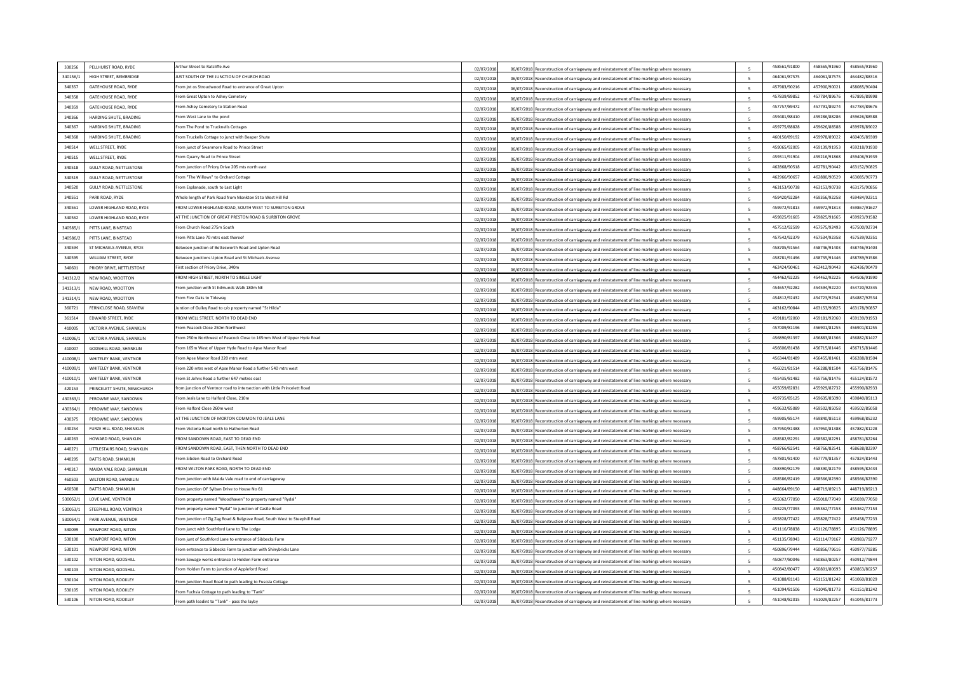| 330256             | PELLHURST ROAD, RYDE                             | Arthur Street to Ratcliffe Ave                                              | 02/07/2018 |               | 06/07/2018 Reconstruction of carriageway and reinstatement of line markings where necessary |              | 458561/91800 | 458565/91960 | 458565/91960 |
|--------------------|--------------------------------------------------|-----------------------------------------------------------------------------|------------|---------------|---------------------------------------------------------------------------------------------|--------------|--------------|--------------|--------------|
| 340156/1           | HIGH STREET, BEMBRIDGE                           | JUST SOUTH OF THE JUNCTION OF CHURCH ROAD                                   | 02/07/2018 |               | 06/07/2018 Reconstruction of carriageway and reinstatement of line markings where necessary |              | 464061/87575 | 464061/87575 | 464482/88316 |
| 340357             | <b>GATEHOUSE ROAD, RYDE</b>                      | From int os Stroudwood Road to entrance of Great Upton                      | 02/07/201  |               | 06/07/2018 Reconstruction of carriageway and reinstatement of line markings where necessary |              | 457983/90216 | 457900/90021 | 458085/90404 |
| 340358             | <b>GATEHOUSE ROAD, RYDE</b>                      | From Great Upton to Ashey Cemetery                                          | 02/07/2018 |               | 06/07/2018 Reconstruction of carriageway and reinstatement of line markings where necessary |              | 457839/89852 | 457784/89676 | 457895/89998 |
| 340359             | <b>GATEHOUSE ROAD, RYDE</b>                      | From Ashey Cemetery to Station Road                                         | 02/07/2018 |               | 06/07/2018 Reconstruction of carriageway and reinstatement of line markings where necessary |              | 457757/89472 | 457791/89274 | 457784/89676 |
| 340366             | HARDING SHUTE, BRADING                           | From West Lane to the pond                                                  | 02/07/2018 |               | 06/07/2018 Reconstruction of carriageway and reinstatement of line markings where necessary |              | 459481/88410 | 459286/88286 | 459626/88588 |
| 340367             | HARDING SHUTE, BRADING                           | From The Pond to Trucknells Cottages                                        | 02/07/2018 |               | 06/07/2018 Reconstruction of carriageway and reinstatement of line markings where necessary |              | 459775/88828 | 459626/88588 | 459978/89022 |
| 340368             | HARDING SHUTE, BRADING                           | From Truckells Cottage to junct with Beaper Shute                           | 02/07/2018 |               | 06/07/2018 Reconstruction of carriageway and reinstatement of line markings where necessary |              | 460150/89192 | 459978/89022 | 460405/89309 |
| 340514             | WELL STREET, RYDE                                | From junct of Swanmore Road to Prince Street                                |            |               |                                                                                             |              | 459065/92005 | 459139/91953 | 459218/91930 |
| 340515             | WELL STREET, RYDE                                | From Quarry Road to Prince Street                                           | 02/07/2018 |               | 06/07/2018 Reconstruction of carriageway and reinstatement of line markings where necessary |              | 459311/91904 | 459216/91868 | 459406/91939 |
| 340518             | <b>GULLY ROAD, NETTLESTONE</b>                   | From junction of Priory Drive 205 mts north east                            | 02/07/2018 |               | 06/07/2018 Reconstruction of carriageway and reinstatement of line markings where necessary |              | 462868/90518 | 462781/90442 | 463152/90825 |
| 340519             | GULLY ROAD, NETTLESTONE                          | From "The Willows" to Orchard Cottage                                       | 02/07/2018 |               | 06/07/2018 Reconstruction of carriageway and reinstatement of line markings where necessary |              | 462966/90657 | 462880/90529 | 463085/90773 |
| 340520             | <b>GULLY ROAD, NETTLESTONE</b>                   | From Esplanade, south to Last Light                                         | 02/07/201  | 06/07/2018    | construction of carriageway and reinstatement of line markings where necessary              |              | 463153/90738 | 463153/90738 | 463175/90856 |
| 340551             | PARK ROAD, RYDE                                  | Whole length of Park Road from Monkton St to West Hill Rd                   | 02/07/2018 |               | 06/07/2018 Reconstruction of carriageway and reinstatement of line markings where necessary |              | 459420/92284 | 459356/92258 | 459484/92311 |
| 340561             | LOWER HIGHLAND ROAD, RYDI                        | FROM LOWER HIGHLAND ROAD, SOUTH WEST TO SURBITON GROVE                      | 02/07/2018 |               | 06/07/2018 Reconstruction of carriageway and reinstatement of line markings where necessary |              | 459972/91813 | 459972/91813 | 459867/91627 |
| 340562             | LOWER HIGHLAND ROAD, RYDE                        | AT THE JUNCTION OF GREAT PRESTON ROAD & SURBITON GROVE                      | 02/07/2018 |               | 06/07/2018 Reconstruction of carriageway and reinstatement of line markings where necessary |              | 459825/91665 | 459825/91665 | 459923/91582 |
| 340585/1           | PITTS LANE, BINSTEAD                             | From Church Road 275m South                                                 | 02/07/2018 |               | 06/07/2018 Reconstruction of carriageway and reinstatement of line markings where necessary |              | 457512/92599 | 457575/92493 | 457500/92734 |
|                    |                                                  | From Pitts Lane 70 mtrs east thereof                                        | 02/07/2018 |               | 06/07/2018 Reconstruction of carriageway and reinstatement of line markings where necessary |              | 457542/92379 | 457534/92358 | 457539/92351 |
| 340586/2<br>340594 | PITTS LANE, BINSTEAD<br>ST MICHAELS AVENUE. RYDE | Between junction of Bettesworth Road and Upton Road                         | 02/07/2018 |               | 06/07/2018 Reconstruction of carriageway and reinstatement of line markings where necessary |              | 458705/91564 | 458746/91403 | 458746/91403 |
|                    |                                                  | Between junctions Upton Road and St Michaels Avenue                         | 02/07/2018 |               | 06/07/2018 Reconstruction of carriageway and reinstatement of line markings where necessary |              | 458781/91496 |              | 458789/91586 |
| 340595             | WILLIAM STREET, RYDE                             |                                                                             | 02/07/201  |               | 06/07/2018 Reconstruction of carriageway and reinstatement of line markings where necessary |              |              | 458735/91446 |              |
| 340601             | PRIORY DRIVE, NETTLESTONE                        | First section of Priory Drive, 340m                                         | 02/07/2018 |               | 06/07/2018 Reconstruction of carriageway and reinstatement of line markings where necessary |              | 462424/90461 | 462412/90443 | 462436/90479 |
| 341312/2           | NEW ROAD, WOOTTON                                | FROM HIGH STREET, NORTH TO SINGLE LIGHT                                     | 02/07/2018 |               | 06/07/2018 Reconstruction of carriageway and reinstatement of line markings where necessary |              | 454462/92225 | 454462/92225 | 454506/91990 |
| 341313/1           | NEW ROAD, WOOTTON                                | From junction with St Edmunds Walk 180m NE                                  | 02/07/2018 |               | 06/07/2018 Reconstruction of carriageway and reinstatement of line markings where necessary |              | 454657/92282 | 454594/92220 | 454720/92345 |
| 341314/1           | NEW ROAD, WOOTTON                                | From Five Oaks to Tideway                                                   | 02/07/2018 | 06/07/2018    | leconstruction of carriageway and reinstatement of line markings where necessary            |              | 454812/92432 | 454723/92341 | 454887/92534 |
| 360721             | FERNICLOSE ROAD, SEAVIEW                         | Juntion of Gulley Road to c/o property named "St Hilda"                     | 02/07/2018 |               | 06/07/2018 Reconstruction of carriageway and reinstatement of line markings where necessary |              | 463162/90844 | 463153/90825 | 463178/90857 |
| 361514             | <b>EDWARD STREET, RYDE</b>                       | FROM WELL STREET, NORTH TO DEAD END                                         | 02/07/2018 |               | 06/07/2018 Reconstruction of carriageway and reinstatement of line markings where necessary |              | 459181/92060 | 459181/92060 | 459139/91953 |
| 410005             | VICTORIA AVENUE, SHANKLIN                        | From Peacock Close 250m Northwest                                           | 02/07/2018 |               | 06/07/2018 Reconstruction of carriageway and reinstatement of line markings where necessary |              | 457009/81196 | 456901/81255 | 456901/81255 |
| 410006/1           | VICTORIA AVENUE, SHANKLIN                        | From 250m Northwest of Peacock Close to 165mm West of Upper Hyde Road       | 02/07/201  |               | 06/07/2018 Reconstruction of carriageway and reinstatement of line markings where necessary |              | 456890/81397 | 456883/81366 | 456882/81427 |
| 410007             | GODSHILL ROAD, SHANKLIN                          | From 165m West of Upper Hyde Road to Apse Manor Road                        | 02/07/2018 | 06/07/2018 Re | construction of carriageway and reinstatement of line markings where necessary              |              | 456606/81438 | 456715/81446 | 456715/81446 |
| 410008/            | WHITELEY BANK, VENTNOR                           | rom Apse Manor Road 220 mtrs west                                           | 02/07/2018 |               | 06/07/2018 Reconstruction of carriageway and reinstatement of line markings where necessary |              | 456344/81489 | 456455/8146: | 456288/81504 |
| 410009/            | WHITELEY BANK, VENTNOR                           | From 220 mtrs west of Anse Manor Road a further 540 mtrs west               | 02/07/2018 |               | 06/07/2018 Reconstruction of carriageway and reinstatement of line markings where necessary |              | 456021/81514 | 456288/81504 | 455756/81476 |
| 410010/1           | WHITELEY BANK, VENTNOR                           | From St Johns Road a further 647 metres east                                | 02/07/2018 |               | 06/07/2018 Reconstruction of carriageway and reinstatement of line markings where necessary |              | 455435/81482 | 455756/81476 | 455124/81572 |
| 420153             | PRINCELETT SHUTE, NEWCHURCH                      | from junction of Ventnor road to intersection with Little Princelett Road   | 02/07/2018 |               | 06/07/2018 Reconstruction of carriageway and reinstatement of line markings where necessary |              | 455059/82831 | 455929/82732 | 455990/82933 |
| 430363/1           | PEROWNE WAY, SANDOWN                             | rom Jeals Lane to Halford Close, 210m                                       | 02/07/2018 |               | 06/07/2018 Reconstruction of carriageway and reinstatement of line markings where necessary |              | 459735/85125 | 459635/85090 | 459840/85113 |
| 430364/            | PEROWNE WAY, SANDOWN                             | From Halford Close 260m west                                                | 02/07/2018 |               | 06/07/2018 Reconstruction of carriageway and reinstatement of line markings where necessary |              | 459632/85089 | 459502/85058 | 459502/85058 |
| 430375             | PEROWNE WAY, SANDOWN                             | AT THE JUNCTION OF MORTON COMMON TO JEALS LANE                              | 02/07/2018 |               | 06/07/2018 Reconstruction of carriageway and reinstatement of line markings where necessary |              | 459905/85174 | 459840/85113 | 459968/85232 |
| 440254             | FURZE HILL ROAD, SHANKLIN                        | From Victoria Road north to Hatherton Road                                  | 02/07/201  |               | 06/07/2018 Reconstruction of carriageway and reinstatement of line markings where necessary |              | 457950/81388 | 457950/81388 | 457882/81228 |
| 440263             | HOWARD ROAD, SHANKLIN                            | FROM SANDOWN ROAD, FAST TO DEAD END                                         | 02/07/2018 |               | 06/07/2018 Reconstruction of carriageway and reinstatement of line markings where necessary |              | 458582/82291 | 458582/82291 | 458781/82264 |
| 440271             | LITTLESTAIRS ROAD, SHANKLIN                      | FROM SANDOWN ROAD, EAST, THEN NORTH TO DEAD END                             | 02/07/2018 |               | 06/07/2018 Reconstruction of carriageway and reinstatement of line markings where necessary |              | 458766/82541 | 458766/82541 | 458638/82397 |
| 440295             | <b>BATTS ROAD, SHANKLIN</b>                      | From Sibden Road to Orchard Road                                            | 02/07/2018 |               | 06/07/2018 Reconstruction of carriageway and reinstatement of line markings where necessary |              | 457801/81400 | 457779/81357 | 457824/81443 |
| 440317             | MAIDA VALE ROAD, SHANKLIN                        | FROM WILTON PARK ROAD, NORTH TO DEAD END                                    | 02/07/2018 | 06/07/2018    | leconstruction of carriageway and reinstatement of line markings where necessary            |              | 458390/82179 | 458390/82179 | 458595/82433 |
| 460503             | WILTON ROAD, SHANKLIN                            | From junction with Maida Vale road to end of carriageway                    | 02/07/2018 |               | 06/07/2018 Reconstruction of carriageway and reinstatement of line markings where necessary |              | 458586/82419 | 458566/82390 | 458566/82390 |
| 460508             | <b>BATTS ROAD, SHANKLIN</b>                      | From junction OF Sylban Drive to House No 61                                | 02/07/2018 |               | 06/07/2018 Reconstruction of carriageway and reinstatement of line markings where necessary |              | 448664/89150 | 448719/89213 | 448719/89213 |
| 530052/            | <b>LOVE LANE, VENTNOR</b>                        | From property named "Woodhaven" to property named "Rydal"                   | 02/07/2018 |               | 06/07/2018 Reconstruction of carriageway and reinstatement of line markings where necessary |              | 455062/77050 | 455018/77049 | 455039/77050 |
| 530053/1           | STEEPHILL ROAD, VENTNOR                          | From property named "Rydal" to junction of Castle Road                      | 02/07/2018 |               | 06/07/2018 Reconstruction of carriageway and reinstatement of line markings where necessary |              | 455225/77093 | 455362/77153 | 455362/77153 |
| 530054/1           | PARK AVENUE, VENTNOR                             | From junction of Zig Zag Road & Belgraye Road, South West to Steephill Road | 02/07/2018 | 06/07/2018    | construction of carriageway and reinstatement of line markings where necessary              |              | 455828/77422 | 455828/77422 | 455458/77233 |
| 530099             | NEWPORT ROAD, NITON                              | rom junct with Southford Lane to The Lodge                                  | 02/07/2018 |               | 06/07/2018 Reconstruction of carriageway and reinstatement of line markings where necessary |              | 451116/78838 | 451126/78895 | 451126/78895 |
| 530100             | NEWPORT ROAD, NITON                              | From junt of Southford Lane to entrance of Sibbecks Farm                    | 02/07/2018 |               | 06/07/2018 Reconstruction of carriageway and reinstatement of line markings where necessary |              | 451135/78943 | 451114/79167 | 450983/79277 |
| 530101             | NEWPORT ROAD, NITON                              | From entrance to Sibbecks Farm to junction with Shinybricks Lane            | 02/07/2018 |               | 06/07/2018 Reconstruction of carriageway and reinstatement of line markings where necessary |              | 450896/79444 | 450856/79616 | 450977/79285 |
| 530102             | NITON ROAD, GODSHILL                             | Erom Sewage works entrance to Holden Farm entrance                          | 02/07/2018 |               | 06/07/2018 Reconstruction of carriageway and reinstatement of line markings where necessary |              | 450877/80046 | 450863/80257 | 450912/79844 |
| 530103             | NITON ROAD, GODSHILL                             | From Holden Farm to junction of Appleford Road                              | 02/07/2018 |               | 06/07/2018 Reconstruction of carriageway and reinstatement of line markings where necessary |              | 450842/80477 | 450801/80693 | 450863/80257 |
| 530104             | NITON ROAD, ROOKLEY                              | From junction Roud Road to path leading to Fuscsia Cottage                  | 02/07/201  |               | 06/07/2018 Reconstruction of carriageway and reinstatement of line markings where necessary |              | 451088/81143 | 451151/81242 | 451060/81029 |
| 530105             | NITON ROAD, ROOKLEY                              | From Fuchsia Cottage to path leading to "Tank'                              | 02/07/2018 |               | 06/07/2018 Reconstruction of carriageway and reinstatement of line markings where necessary |              | 451094/81506 | 451045/81773 | 451151/81242 |
| 530106             | NITON ROAD, ROOKLEY                              | From path leadint to "Tank" - pass the layby                                | 02/07/2018 |               | 06/07/2018 Reconstruction of carriageway and reinstatement of line markings where necessary | $\mathbf{R}$ | 451048/82015 | 451029/82257 | 451045/81773 |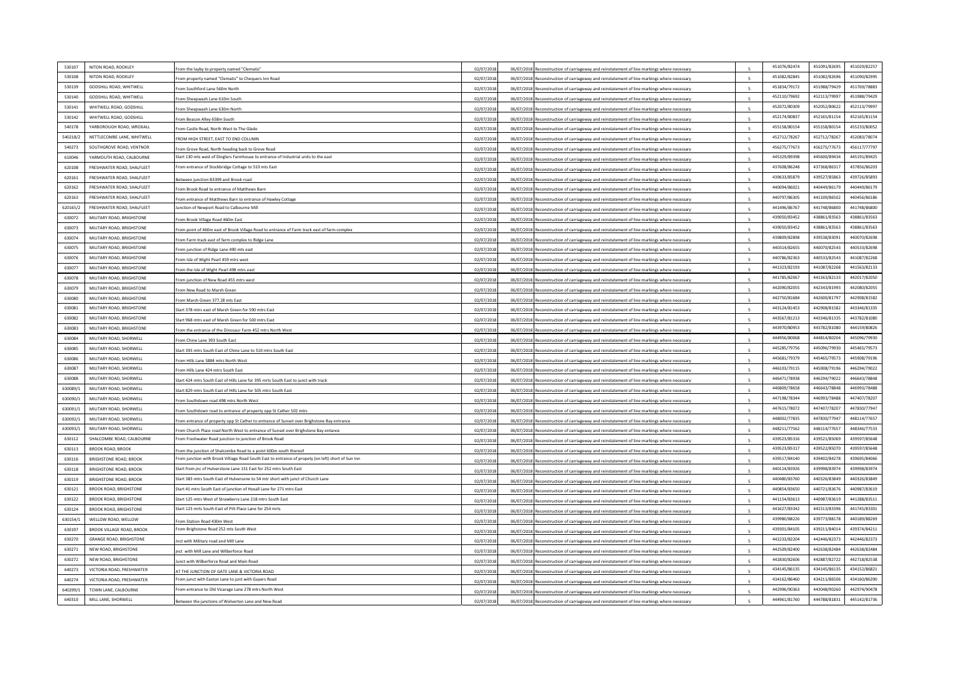| NITON ROAD, ROOKLEY<br>530107                                  |                                                                                                                                           |            |                 |                                                                                             |              | 451076/82474                 | 451091/82695 | 451029/82257                 |
|----------------------------------------------------------------|-------------------------------------------------------------------------------------------------------------------------------------------|------------|-----------------|---------------------------------------------------------------------------------------------|--------------|------------------------------|--------------|------------------------------|
| 530108<br>NITON ROAD, ROOKLEY                                  | From the layby to property named "Clematis'                                                                                               | 02/07/2018 |                 | 06/07/2018 Reconstruction of carriageway and reinstatement of line markings where necessar  |              | 451082/82845                 | 451082/82696 | 451090/82995                 |
| 530139<br><b>GODSHILL ROAD, WHITWELL</b>                       | From property named "Clematis" to Chequers Inn Road                                                                                       | 02/07/2018 |                 | 06/07/2018 Reconstruction of carriageway and reinstatement of line markings where necessary |              | 451834/79172                 | 451988/79429 | 451769/78883                 |
| 530140<br>GODSHILL ROAD, WHITWELL                              | rom Southford Lane 560m North                                                                                                             | 02/07/2018 |                 | 06/07/2018 Reconstruction of carriageway and reinstatement of line markings where necessary |              | 452110/79692                 | 452113/79997 | 451988/79429                 |
| 530141<br>WHITWELL ROAD, GODSHILL                              | From Sheepwash Lane 610m South                                                                                                            | 02/07/2018 |                 | 06/07/2018 Reconstruction of carriageway and reinstatement of line markings where necessary |              | 452072/80309                 | 452052/80622 | 452113/79997                 |
| 530142<br>WHITWELL ROAD, GODSHILL                              | From Sheepwash Lane 630m North                                                                                                            | 02/07/2018 |                 | 06/07/2018 Reconstruction of carriageway and reinstatement of line markings where necessary |              | 452174/80837                 | 452165/81154 | 452165/81154                 |
| 540178<br>YARBOROUGH ROAD, WROXALL                             | From Beacon Alley 658m South                                                                                                              | 02/07/2018 |                 | 06/07/2018 Reconstruction of carriageway and reinstatement of line markings where necessary |              | 455158/80154                 | 455158/80154 | 455233/80052                 |
| 540218/2<br>NETTI FCOMBE LANE, WHITWELL                        | From Castle Road, North West to The Glade                                                                                                 | 02/07/2018 |                 | 06/07/2018 Reconstruction of carriageway and reinstatement of line markings where necessary |              | 452712/78267                 | 452712/78267 | 452083/78074                 |
|                                                                | FROM HIGH STREET, EAST TO END COLUMN                                                                                                      | 02/07/2018 |                 | 06/07/2018 Reconstruction of carriageway and reinstatement of line markings where necessary | $\mathbf{r}$ | 456275/77673                 | 456275/77673 | 456117/77797                 |
| 540273<br>SOUTHGROVE ROAD, VENTNOR<br>YARMOUTH ROAD, CALBOURNE | From Grove Road, North heading back to Grove Road<br>Start 130 mts west of Dinglers Farmhouse to entrance of Industrial units to the east | 02/07/2018 |                 | 06/07/2018 Reconstruction of carriageway and reinstatement of line markings where necessary |              | 445329/89398                 | 445600/89434 | 445191/89425                 |
| 610046                                                         |                                                                                                                                           | 02/07/2018 |                 | 06/07/2018 Reconstruction of carriageway and reinstatement of line markings where necessary |              |                              |              |                              |
| 620108<br>FRESHWATER ROAD, SHALFLEET                           | From entrance of Stockbridge Cottage to 510 mts East                                                                                      | 02/07/2018 |                 | 06/07/2018 Reconstruction of carriageway and reinstatement of line markings where necessary |              | 437608/86248<br>439633/85879 | 437368/86317 | 437856/86203<br>439726/85893 |
| 620161<br><b>ERESHWATER ROAD, SHALFLEET</b>                    | Between junction B3399 and Brook road                                                                                                     | 02/07/2018 |                 | 06/07/2018 Reconstruction of carriageway and reinstatement of line markings where necessary |              |                              | 439527/85863 |                              |
| 620162<br>FRESHWATER ROAD, SHALFLEET                           | From Brook Road to entrance of Matthews Barn                                                                                              | 02/07/2018 |                 | 06/07/2018 Reconstruction of carriageway and reinstatement of line markings where necessary |              | 440094/86021                 | 440449/86179 | 440449/86179                 |
| 620163<br><b>ERESHWATER ROAD, SHALFLEET</b>                    | From entrance of Matthews Barn to entrance of Hawley Cottage                                                                              | 02/07/2018 |                 | 06/07/2018 Reconstruction of carriageway and reinstatement of line markings where necessary |              | 440797/86305                 | 441109/86502 | 440456/86186                 |
| 620165/2<br>FRESHWATER ROAD, SHALFLEET                         | Junction of Newport Road to Calbourne Mill                                                                                                | 02/07/2018 |                 | 06/07/2018 Reconstruction of carriageway and reinstatement of line markings where necessary |              | 441496/86767                 | 441748/86800 | 441748/86800                 |
| 630072<br>MILITARY ROAD, BRIGHSTONE                            | rom Brook Village Road 460m East                                                                                                          | 02/07/2018 |                 | 06/07/2018 Reconstruction of carriageway and reinstatement of line markings where necessary |              | 439050/83452                 | 438861/83563 | 438861/83563                 |
| MILITARY ROAD, BRIGHSTONE<br>630073                            | From point of 460m east of Brook Village Road to entrance of Farm track east of farm complex                                              | 02/07/2018 |                 | 06/07/2018 Reconstruction of carriageway and reinstatement of line markings where necessary |              | 439050/83452                 | 438861/83563 | 438861/83563                 |
| 630074<br>MILITARY ROAD, BRIGHSTONE                            | From Farm track east of farm complex to Ridge Lane                                                                                        | 02/07/2018 |                 | 06/07/2018 Reconstruction of carriageway and reinstatement of line markings where necessary |              | 439809/82898                 | 439538/83091 | 440070/82698                 |
| 630075<br>MILITARY ROAD, BRIGHSTONE                            | From junction of Ridge Lane 490 mts east                                                                                                  | 02/07/2018 |                 | 06/07/2018 Reconstruction of carriageway and reinstatement of line markings where necessary |              | 440314/82655                 | 440070/82543 | 440533/82698                 |
| 630076<br>MILITARY ROAD, BRIGHSTONE                            | From Isle of Wight Pearl 459 mtrs west                                                                                                    | 02/07/2018 |                 | 06/07/2018 Reconstruction of carriageway and reinstatement of line markings where necessary |              | 440786/82363                 | 440533/82543 | 441087/82268                 |
| 630077<br>MILITARY ROAD, BRIGHSTONE                            | From the Isle of Wight Pearl 498 mtrs east                                                                                                | 02/07/2018 |                 | 06/07/2018 Reconstruction of carriageway and reinstatement of line markings where necessary |              | 441323/82193                 | 441087/82268 | 441563/82133                 |
| 630078<br>MILITARY ROAD, BRIGHSTONE                            | From junction of New Road 455 mtrs west                                                                                                   | 02/07/2018 |                 | 06/07/2018 Reconstruction of carriageway and reinstatement of line markings where necessary |              | 441785/82067                 | 441563/82133 | 442017/82050                 |
| 630079<br>MILITARY ROAD, BRIGHSTONE                            | From New Road to Marsh Green                                                                                                              | 02/07/2018 |                 | 06/07/2018 Reconstruction of carriageway and reinstatement of line markings where necessary |              | 442090/82055                 | 442343/81993 | 442080/82055                 |
| 630080<br>MILITARY ROAD, BRIGHSTONE                            | rom Marsh Green 377.28 mts East                                                                                                           | 02/07/2018 | 06/07/2018 Reco | struction of carriageway and reinstatement of line markings where necessary                 |              | 442750/81684                 | 442600/81797 | 442908/81582                 |
| 630081<br>MILITARY ROAD, BRIGHSTONE                            | Start 378 mtrs east of Marsh Green for 590 mtrs East                                                                                      | 02/07/2018 |                 | 06/07/2018 Reconstruction of carriageway and reinstatement of line markings where necessary |              | 443124/81453                 | 442908/81582 | 443346/81335                 |
| MILITARY ROAD, BRIGHSTONE<br>630082                            | Start 968 mtrs east of Marsh Green for 500 mtrs East                                                                                      | 02/07/2018 |                 | 06/07/2018 Reconstruction of carriageway and reinstatement of line markings where necessary |              | 443567/81213                 | 443346/81335 | 443782/81080                 |
| 630083<br>MILITARY ROAD, BRIGHSTONE                            | rom the entrance of the Dinosaur Farm 452 mtrs North West                                                                                 | 02/07/2018 |                 | 06/07/2018 Reconstruction of carriageway and reinstatement of line markings where necessary |              | 443970/80953                 | 443782/81080 | 444159/80826                 |
| 630084<br>MILITARY ROAD, SHORWELL                              | rom Chine Lane 393 South East                                                                                                             | 02/07/2018 |                 | 06/07/2018 Reconstruction of carriageway and reinstatement of line markings where necessary |              | 444956/80068                 | 444814/80204 | 445096/79930                 |
| 630085<br>MILITARY ROAD, SHORWELL                              | Start 393 mtrs South East of Chine Lane to 510 mtrs South East                                                                            | 02/07/2018 |                 | 06/07/2018 Reconstruction of carriageway and reinstatement of line markings where necessary |              | 445285/79756                 | 445096/79930 | 445465/79573                 |
| 630086<br>MILITARY ROAD, SHORWELL                              | From Hills Lane 5884 mtrs North West                                                                                                      | 02/07/2018 |                 | 06/07/2018 Reconstruction of carriageway and reinstatement of line markings where necessary |              | 445681/79379                 | 445465/79573 | 445908/79196                 |
| 630087<br>MILITARY ROAD, SHORWELL                              | From Hills Lane 424 mtrs South East                                                                                                       | 02/07/2018 |                 | 06/07/2018 Reconstruction of carriageway and reinstatement of line markings where necessary |              | 446103/79115                 | 445908/79196 | 446294/79022                 |
| 630088<br>MILITARY ROAD, SHORWELL                              | Start 424 mtrs South East of Hills Lane for 395 mrts South East to junct with track                                                       | 02/07/2018 |                 | 06/07/2018 Reconstruction of carriageway and reinstatement of line markings where necessary |              | 446471/78938                 | 446294/79022 | 446643/78848                 |
| 630089/1<br>MILITARY ROAD, SHORWELL                            | Start 829 mtrs South East of Hills Lane for 505 mtrs South East                                                                           | 02/07/2018 |                 | 06/07/2018 Reconstruction of carriageway and reinstatement of line markings where necessary |              | 446809/78658                 | 446643/78848 | 446993/78488                 |
| 630090/1<br>MILITARY ROAD, SHORWELL                            | From Southdown road 498 mtrs North West                                                                                                   | 02/07/2018 |                 | 06/07/2018 Reconstruction of carriageway and reinstatement of line markings where necessary |              | 447198/78344                 | 446993/78488 | 447407/78207                 |
| 630091/<br>MILITARY ROAD, SHORWELL                             | From Southdown road to entrance of property opp St Cather 502 mtrs                                                                        | 02/07/2018 |                 | 06/07/2018 Reconstruction of carriageway and reinstatement of line markings where necessary |              | 447615/78072                 | 447407/78207 | 447830/77947                 |
| 630092/<br>MILITARY ROAD, SHORWELL                             | From entrance of property opp St Cather to entrance of Sunset over Brighstone Bay entrance                                                | 02/07/2018 |                 | 06/07/2018 Reconstruction of carriageway and reinstatement of line markings where necessary |              | 448002/77835                 | 447830/77947 | 448114/77657                 |
| 630093/1<br>MILITARY ROAD, SHORWELL                            | rom Church Place road North West to entrance of Sunset over Brighstone Bay entance                                                        | 02/07/2018 |                 | 06/07/2018 Reconstruction of carriageway and reinstatement of line markings where necessary | $\mathbf{r}$ | 448211/77562                 | 448114/77657 | 448346/77533                 |
| SHALCOMBE ROAD, CALBOURNE<br>630112                            | From Freshwater Road junction to junction of Brook Road                                                                                   | 02/07/2018 |                 | 06/07/2018 Reconstruction of carriageway and reinstatement of line markings where necessary |              | 439523/85316                 | 439521/85069 | 439597/85648                 |
| 630113<br><b>BROOK ROAD, BROOK</b>                             | From the junction of Shalcombe Road to a point 600m south thereof                                                                         | 02/07/2018 |                 | 06/07/2018 Reconstruction of carriageway and reinstatement of line markings where necessary |              | 439523/85317                 | 439522/85070 | 439597/85648                 |
| 630116<br><b>BRIGHSTONE ROAD, BROOK</b>                        | From junction with Brook Villiage Road South East to entrance of propety (on left) short of Sun Inr                                       | 02/07/2018 |                 | 06/07/2018 Reconstruction of carriageway and reinstatement of line markings where necessary |              | 439517/84140                 | 439402/84278 | 439695/84066                 |
| 630118<br><b>BRIGHSTONE ROAD, BROOK</b>                        | Start from jnc of Hulverstone Lane 131 East for 252 mtrs South East                                                                       | 02/07/2018 |                 | 06/07/2018 Reconstruction of carriageway and reinstatement of line markings where necessary |              | 440114/83926                 | 439998/83974 | 439998/83974                 |
| 630119<br><b>BRIGHSTONE ROAD, BROOK</b>                        | Start 383 mtrs South East of Hulversone to 54 mtr short with junct of Church Lane                                                         | 02/07/2018 |                 | 06/07/2018 Reconstruction of carriageway and reinstatement of line markings where necessary |              | 440480/83760                 | 440326/83849 | 440326/83849                 |
| 630121<br><b>BROOK ROAD, BRIGHSTONE</b>                        | Start 41 mtrs South East of junction of Hoxall Lane for 271 mtrs East                                                                     | 02/07/2018 |                 | 06/07/2018 Reconstruction of carriageway and reinstatement of line markings where necessary |              | 440854/83650                 | 440721/83676 | 440987/83619                 |
| 630122<br><b>BROOK ROAD, BRIGHSTONE</b>                        | Start 125 mtrs West of Strawberry Lane 218 mtrs South East                                                                                | 02/07/2018 |                 | 06/07/2018 Reconstruction of carriageway and reinstatement of line markings where necessary |              | 441154/83613                 | 440987/83619 | 441288/83511                 |
| 630124<br><b>BROOK ROAD, BRIGHSTON</b>                         | Start 123 mrts South East of Pitt Place Lane for 254 mrts                                                                                 | 02/07/2018 |                 | 06/07/2018 Reconstruction of carriageway and reinstatement of line markings where necessary |              | 441627/83342                 | 441513/83396 | 441745/83301                 |
| 630154/1<br>WELLOW ROAD, WELLOW                                | From Station Road 430m West                                                                                                               | 02/07/2018 | 06/07/2018 Re   | construction of carriageway and reinstatement of line markings where necessary              |              | 439980/88226                 | 439773/88178 | 440189/88269                 |
| 630197<br><b>BROOK VILLAGE ROAD, BROOK</b>                     | From Brighstone Road 252 mts South West                                                                                                   | 02/07/2018 |                 | 06/07/2018 Reconstruction of carriageway and reinstatement of line markings where necessary |              | 439301/84105                 | 439211/84014 | 439374/84211                 |
| 630270<br><b>GRANGE ROAD, BRIGHSTONE</b>                       | <b>Jnct with Military road and Mill Lane</b>                                                                                              | 02/07/2018 |                 | 06/07/2018 Reconstruction of carriageway and reinstatement of line markings where necessary |              | 442233/82204                 | 442446/82373 | 442446/82375                 |
| 630271<br><b>NEW ROAD, BRIGHSTONE</b>                          | inct with Mill Lane and Wilberforce Road                                                                                                  | 02/07/2018 |                 | 06/07/2018 Reconstruction of carriageway and reinstatement of line markings where necessary |              | 442509/82400                 | 442638/82484 | 442638/82484                 |
| 630272<br>NEW ROAD, BRIGHSTONE                                 | lunct with Wilberforce Road and Main Road                                                                                                 | 02/07/2018 |                 | 06/07/2018 Reconstruction of carriageway and reinstatement of line markings where necessary | $\mathbf{S}$ | 442830/82606                 | 442887/82722 | 442718/82538                 |
| 640273<br>VICTORIA ROAD, FRESHWATER                            | AT THE JUNCTION OF GATE LANE & VICTORIA ROAD                                                                                              | 02/07/2018 |                 | 06/07/2018 Reconstruction of carriageway and reinstatement of line markings where necessary |              | 434145/86135                 | 434145/86135 | 434152/86821                 |
| 640274<br>VICTORIA ROAD, FRESHWATER                            | From junct with Easton Lane to junt with Guvers Road                                                                                      | 02/07/2018 |                 | 06/07/2018 Reconstruction of carriageway and reinstatement of line markings where necessary |              | 434162/86460                 | 434211/86506 | 434160/86390                 |
| 640299/<br>TOWN LANE, CALBOURNE                                | From entrance to Old Vicarage Lane 278 mtrs North West                                                                                    | 02/07/2018 |                 | 06/07/2018 Reconstruction of carriageway and reinstatement of line markings where necessary |              | 442996/90363                 | 443048/90260 | 442974/90478                 |
| 640310<br>MILL LANE, SHORWELL                                  | Between the junctions of Wolverton Lane and New Road                                                                                      | 02/07/2018 |                 | 06/07/2018 Reconstruction of carriageway and reinstatement of line markings where necessary | $\leq$       | 444961/81760                 | 444788/81831 | 445142/81736                 |
|                                                                |                                                                                                                                           |            |                 |                                                                                             |              |                              |              |                              |